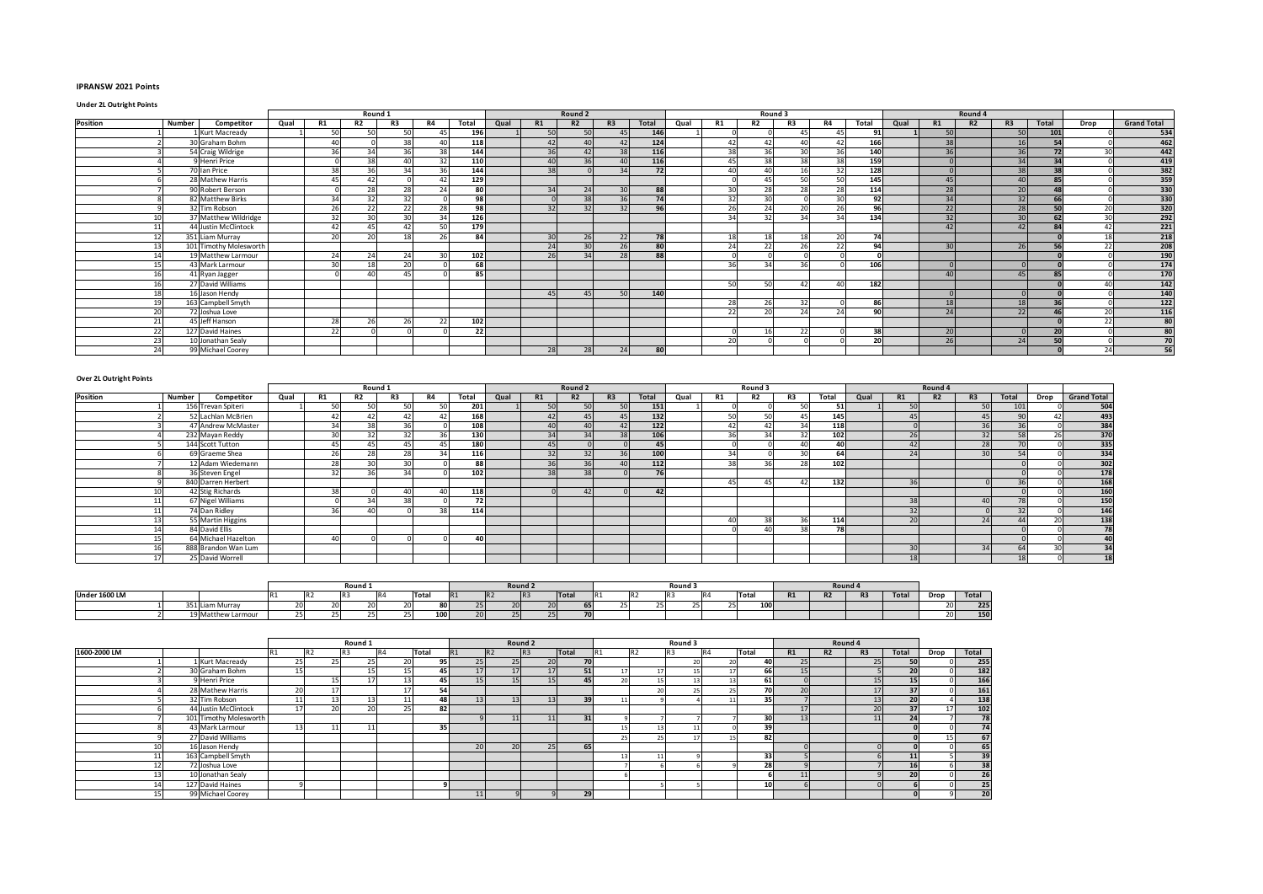## **IPRANSW 2021 Points**

## **Under 2L Outright Points**

|          |    |                        |      |           | Round 1   |                                           |           |       |      |                                          | Round 2         |                 |               |      |                 | Round 3                   |                 |                                          |       |      |    | Round 4 |                 |                |      |                    |
|----------|----|------------------------|------|-----------|-----------|-------------------------------------------|-----------|-------|------|------------------------------------------|-----------------|-----------------|---------------|------|-----------------|---------------------------|-----------------|------------------------------------------|-------|------|----|---------|-----------------|----------------|------|--------------------|
| Position |    | Number<br>Competitor   | Qual | <b>R1</b> | <b>R2</b> | R3                                        | <b>R4</b> | Total | Qual | R1                                       | R2              | R3              | Total         | Qual | <b>R1</b>       | R <sub>2</sub>            | R <sub>3</sub>  | <b>R4</b>                                | Total | Qual | R1 | R2      | R <sub>3</sub>  | Total          | Drop | <b>Grand Total</b> |
|          |    | 1 Kurt Macready        |      | 50        | 50        | 50                                        | 45        | 196   |      | 50                                       | 50              | 45              | 146           |      |                 |                           | 45              | 45                                       | 91    |      | 50 |         | 50              | 101            |      | 534                |
|          |    | 30 Graham Bohm         |      | 40        |           | 38                                        | 40        | 118   |      | $\Lambda$                                | $\overline{10}$ | 42              | 124           |      | 42              | 42                        | $\Delta$ 0      | 42                                       | 166   |      | 38 |         | 16              |                |      | 462                |
|          |    | 54 Craig Wildrige      |      | 36        | 34        | 36                                        | 38        | 144   |      | 36                                       | 42              | 38              | 116           |      | 38              | 36                        | 30 <sup>1</sup> | 36                                       | 140   |      | 36 |         | 36              | 72             | 3UI  | 442                |
|          |    | 9 Henri Price          |      |           | 38        | $\Lambda$ <sup><math>\Lambda</math></sup> | 32        | 110   |      | $\Lambda$ <sup><math>\Omega</math></sup> | 36              | 40              | 116           |      | 45              | 38                        | 38              | 38                                       | 159   |      |    |         | 34              |                |      | 419                |
|          |    | 70 Ian Price           |      | 38        | 36        | 34                                        | 36        | 144   |      | 38                                       |                 | 34              | 72            |      | 40              | $\Lambda$ C               | 16              | 32                                       | 128   |      |    |         | 38              |                |      | 382                |
|          |    | 28 Mathew Harris       |      | 45        | 42        |                                           | 42        | 129   |      |                                          |                 |                 |               |      |                 | $\mathbf{A}^{\mathsf{c}}$ | 50              | 50                                       | 145   |      | 45 |         | 40              |                |      | 359                |
|          |    | 90 Robert Berson       |      |           | 28        | 28                                        | 24        | 80    |      | 34                                       | 24              | 30 <sup>1</sup> | 88            |      | 30              | 28                        | 28              | 28                                       | 114   |      | 28 |         | 20              |                |      | 330                |
|          |    | 82 Matthew Birks       |      | 34        | 32        | 32                                        |           | 98    |      |                                          | 38              | 36              | 74            |      | 32 <sup>1</sup> | 30                        |                 | 30 <sup>2</sup>                          | 92    |      | 34 |         | 32              |                |      | 330                |
|          |    | 32 Tim Robson          |      | 26        | 22        | 22                                        | 28        | 98    |      | 32                                       | 32              | 32              | 96            |      | 26              | 24                        | 20 <sup>1</sup> | 26                                       | 96    |      | 22 |         | 28              |                | 20   | 320                |
|          |    | 37 Matthew Wildridge   |      | 32        | 30        | 30                                        | 34        | 126   |      |                                          |                 |                 |               |      | 34              | 32                        | 34              | 34                                       | 134   |      | 32 |         | 30              |                | 30   | 292                |
|          |    | 44 Justin McClintock   |      | $\Delta$  | 45        | $\Lambda$                                 | 50        | 179   |      |                                          |                 |                 |               |      |                 |                           |                 |                                          |       |      | 42 |         | $\overline{12}$ |                | 42   | $\overline{221}$   |
|          |    | 351 Liam Murray        |      | 20        | 20        |                                           | 26        | 84    |      | 30                                       | 26              | 22              | 78            |      | 10              | 18                        | 18              | 20                                       | 74    |      |    |         |                 |                | 18   | 218                |
|          |    | 101 Timothy Molesworth |      |           |           |                                           |           |       |      | 24                                       | 30 <sup>1</sup> | 26              | $\mathsf{on}$ |      | 24              | 22                        | 26              | 22                                       | 94    |      | 30 |         | 26              |                | 22   | 208                |
|          |    | 19 Matthew Larmour     |      | 24        | 24        | 24                                        | 30        | 102   |      | 26                                       | 34              | 28              | 88            |      |                 |                           |                 |                                          |       |      |    |         |                 |                |      | 190                |
|          |    | 43 Mark Larmour        |      | 30        | 18        | 20                                        |           | 68    |      |                                          |                 |                 |               |      | 36              | 34                        | 36              |                                          | 106   |      |    |         |                 |                |      | 174                |
|          | 16 | 41 Ryan Jagger         |      |           | 40        | $\Delta$                                  |           | 85    |      |                                          |                 |                 |               |      |                 |                           |                 |                                          |       |      | 40 |         | 45              |                |      | 170                |
|          |    | 27 David Williams      |      |           |           |                                           |           |       |      |                                          |                 |                 |               |      | 50              | 50                        | 42              | $\Lambda$ <sup><math>\Omega</math></sup> | 182   |      |    |         |                 |                | 40   | 142                |
|          | 18 | 16 Jason Hendy         |      |           |           |                                           |           |       |      | 45                                       | 45              | 50              | 140           |      |                 |                           |                 |                                          |       |      |    |         |                 |                |      | 140                |
|          |    | 163 Campbell Smyth     |      |           |           |                                           |           |       |      |                                          |                 |                 |               |      | 28              | 26                        | 32              |                                          | 86    |      | 18 |         | 18              | 2 <sup>c</sup> |      | 122                |
|          | 20 | 72 Joshua Love         |      |           |           |                                           |           |       |      |                                          |                 |                 |               |      | 22              | 20                        | 24              | 24                                       | 90    |      | 24 |         | 22              |                | 20   | 116                |
|          | 21 | 45 Jeff Hanson         |      | 28        | 26        | 26                                        | 22        | 102   |      |                                          |                 |                 |               |      |                 |                           |                 |                                          |       |      |    |         |                 |                | 22   | $\overline{80}$    |
|          | 22 | 127 David Haines       |      | 22        |           |                                           |           | 22    |      |                                          |                 |                 |               |      |                 | 16                        | 22              |                                          | 38    |      | 20 |         |                 |                |      | $\overline{80}$    |
|          | 23 | 10 Jonathan Sealy      |      |           |           |                                           |           |       |      |                                          |                 |                 |               |      | 20              |                           |                 |                                          | 20    |      | 26 |         | 24              |                |      | 70                 |
|          |    | 99 Michael Coorey      |      |           |           |                                           |           |       |      | 28                                       | 28              | 24              | 80            |      |                 |                           |                 |                                          |       |      |    |         |                 |                | 24   | 56                 |

| Over 2L Outright Points |        |                     |      |           |                 |        |           |       |      |    |                    |                                          |       |      |           |                |                |       |      |    |                |                                          |                          |                 |                    |
|-------------------------|--------|---------------------|------|-----------|-----------------|--------|-----------|-------|------|----|--------------------|------------------------------------------|-------|------|-----------|----------------|----------------|-------|------|----|----------------|------------------------------------------|--------------------------|-----------------|--------------------|
|                         |        |                     |      |           | Round 1         |        |           |       |      |    | Round <sub>2</sub> |                                          |       |      |           | Round 3        |                |       |      |    | Round 4        |                                          |                          |                 |                    |
| Position                | Number | Competitor          | Qual | R1        | R <sub>2</sub>  | R3     | <b>R4</b> | Total | Qual | R1 | R2                 | R <sub>3</sub>                           | Total | Qual | <b>R1</b> | <b>R2</b>      | R3             | Total | Qual | R1 | R <sub>2</sub> | R3                                       | Total                    | Drop            | <b>Grand Total</b> |
|                         |        | 156 Trevan Spiteri  |      | 50        | 50 <sub>1</sub> | $\sim$ | 50        | 201   |      | 50 | 50 <sub>1</sub>    | 50                                       | 151   |      |           |                | 50             | 51    |      | 50 |                | 50                                       | 101                      |                 | 504                |
|                         |        | 52 Lachlan McBrien  |      | 42        | 42              |        | 42        | 168   |      | 42 |                    | 45                                       | 132   |      | 50        | E O            |                | 145   |      | 45 |                | 45                                       | $\Omega$                 | 42              | 493                |
|                         |        | 47 Andrew McMaster  |      | 34        | 38              | 36     |           | 108   |      | 40 |                    |                                          | $122$ |      | 42        |                | 34             | 118   |      |    |                | 36                                       | 36                       |                 | 384                |
|                         |        | 232 Mayan Reddy     |      | 20        | 32              | 32     | 36        | 130   |      | 34 |                    | 38                                       | 106   |      | 36        | 2 <sub>A</sub> | $\sim$         | 102   |      | 26 |                | 32                                       | 58                       | 26              | 370                |
|                         |        | 144 Scott Tutton    |      | 45        | 45              |        | 45        | 180   |      | 45 |                    |                                          | 45    |      |           |                | $\overline{a}$ | 40    |      | 42 |                | 28                                       |                          |                 | 335                |
|                         |        | 69 Graeme Shea      |      | $\sim$    | 28              | 20     | 34        | 116   |      | 32 | 32                 | 36                                       | 100   |      | 34        |                | 30             | 64    |      | 24 |                | 30                                       | <b>CA</b>                |                 | 334                |
|                         |        | 12 Adam Wiedemann   |      | 28        | 30              | 20     |           | 88    |      | 36 | 36                 | $\Lambda$ <sup><math>\Omega</math></sup> | 112   |      | 38        | 2C             | $\sim$         | 102   |      |    |                |                                          |                          |                 | 302                |
|                         |        | 36 Steven Engel     |      | 32        | 36              |        |           | 102   |      | 38 | 38                 |                                          | 76    |      |           |                |                |       |      |    |                |                                          |                          |                 | 178                |
|                         |        | 840 Darren Herbert  |      |           |                 |        |           |       |      |    |                    |                                          |       |      | 45        |                |                | 132   |      | 36 |                |                                          |                          |                 | 168                |
|                         |        | 42 Stig Richards    |      | 38        |                 |        | Δſ        | 118   |      |    |                    |                                          | 42    |      |           |                |                |       |      |    |                |                                          |                          |                 | $\overline{160}$   |
|                         |        | 67 Nigel Williams   |      |           | 34              | 38     |           | 72    |      |    |                    |                                          |       |      |           |                |                |       |      | 38 |                | $\Lambda$ <sup><math>\Omega</math></sup> | $\overline{\phantom{a}}$ |                 | 150                |
|                         |        | 74 Dan Ridley       |      | $\sim$    |                 |        | 38        | 114   |      |    |                    |                                          |       |      |           |                |                |       |      | 32 |                |                                          | 32                       |                 | 146                |
|                         |        | 55 Martin Higgins   |      |           |                 |        |           |       |      |    |                    |                                          |       |      |           | 38             | 36             | 114   |      | 20 |                | 24                                       |                          | 20              | 138                |
|                         |        | 84 David Ellis      |      |           |                 |        |           |       |      |    |                    |                                          |       |      |           |                | 20             | 78    |      |    |                |                                          |                          |                 | 78                 |
|                         |        | 64 Michael Hazelton |      | $\Lambda$ |                 |        |           | 40    |      |    |                    |                                          |       |      |           |                |                |       |      |    |                |                                          |                          |                 | 40                 |
|                         |        | 888 Brandon Wan Lum |      |           |                 |        |           |       |      |    |                    |                                          |       |      |           |                |                |       |      | 30 |                | 34                                       | 64                       | 30 <sup>1</sup> | 34                 |
|                         |        | 25 David Worrell    |      |           |                 |        |           |       |      |    |                    |                                          |       |      |           |                |                |       |      | 18 |                |                                          |                          |                 | 18 <sub>1</sub>    |

|               |                         |  | Round: |      |                              |    |                | Round <sub>2</sub>       |       |  | Round 3 |      |     |                      |    | Round 4  |       |      |       |
|---------------|-------------------------|--|--------|------|------------------------------|----|----------------|--------------------------|-------|--|---------|------|-----|----------------------|----|----------|-------|------|-------|
| Under 1600 LM |                         |  |        |      | Total                        | R1 | n <sub>2</sub> | $\sim$                   | Total |  |         | Tota |     | D <sub>1</sub><br>n. | nД | D2<br>nэ | Total | Drop | Total |
|               | 2.52<br>351 Liam Murray |  |        |      | $\sim$<br>80.                |    |                | $\sim$ $\sim$<br>zui     |       |  |         | -421 | 100 |                      |    |          |       |      | 225   |
|               | '9 Matthew Larmour      |  |        | $ -$ | $\overline{a}$<br><b>100</b> |    |                | $\sim$ $-$<br><b>25F</b> |       |  |         |      |     |                      |    |          |       |      | 150   |

|              |                        |                | Round 1        |              |              |     |    |                | Round 2        |       |    |    |                |                      | Round 3 |                 |    |    | Round 4        |                |      |       |
|--------------|------------------------|----------------|----------------|--------------|--------------|-----|----|----------------|----------------|-------|----|----|----------------|----------------------|---------|-----------------|----|----|----------------|----------------|------|-------|
| 1600-2000 LM |                        | R <sub>2</sub> | R <sub>3</sub> | R4           | <b>Total</b> |     |    | R <sub>2</sub> | R <sub>3</sub> | Total |    |    | R <sub>2</sub> |                      | BA      | Total           | R1 | R2 | R <sub>3</sub> | <b>Total</b>   | Drop | Total |
|              | 1 Kurt Macready        | 25             | 25             | $\sim$       | $\sim$       | 951 | 25 |                | 25             | 20    | 70 |    |                |                      | $\sim$  | 40              | 25 |    | or.            | 50             |      | 255   |
|              | 30 Graham Bohm         | 15             |                |              |              | 45  |    |                |                | 17    | 51 |    |                |                      |         | 66              |    |    |                | 20             |      | 182   |
|              | 9 Henri Price          |                | 15             |              | 13           | 45  |    |                |                |       | 45 |    |                | 10                   |         | 61              |    |    |                | 15             |      | 166   |
|              | 28 Mathew Harris       | 20             |                |              |              | 54  |    |                |                |       |    |    |                |                      |         | 70              | 20 |    |                | 37             |      | 161   |
|              | 32 Tim Robson          | 11             | 13             |              | 11           | 48  |    |                |                | 13    | 39 |    |                |                      |         | 35 <sub>1</sub> |    |    |                | 20             |      | 138   |
|              | 44 Justin McClintock   | 17             | 20             | $\sim$<br>zu | 25           | 82  |    |                |                |       |    |    |                |                      |         |                 |    |    | $\overline{2}$ | 37             |      | 102   |
|              | 101 Timothy Molesworth |                |                |              |              |     |    |                |                |       | 31 |    |                |                      |         | 30              |    |    |                | 2 <sub>l</sub> |      | 78    |
|              | 43 Mark Larmour        | 13             | 11             |              |              | 35  |    |                |                |       |    | 15 |                |                      |         | 39              |    |    |                |                |      | 74    |
|              | 27 David Williams      |                |                |              |              |     |    |                |                |       |    |    |                | $\sim$               |         | 82              |    |    |                |                |      | 67    |
|              | 16 Jason Hendy         |                |                |              |              |     | 20 |                | 20             | 25    | 65 |    |                |                      |         |                 |    |    |                |                |      | 65    |
| 11           | 163 Campbell Smyth     |                |                |              |              |     |    |                |                |       |    |    |                | $\ddot{\phantom{a}}$ |         | 33              |    |    |                |                |      | 39    |
|              | 72 Joshua Love         |                |                |              |              |     |    |                |                |       |    |    |                |                      |         | 28              |    |    |                |                |      | 38    |
| 13           | 10 Jonathan Sealy      |                |                |              |              |     |    |                |                |       |    |    |                |                      |         |                 |    |    |                | 20             |      | 26    |
|              | 127 David Haines       |                |                |              |              |     |    |                |                |       |    |    |                |                      |         | 10              |    |    |                |                |      | 25    |
|              | 99 Michael Coorey      |                |                |              |              |     |    |                |                |       | 29 |    |                |                      |         |                 |    |    |                |                |      | 20    |